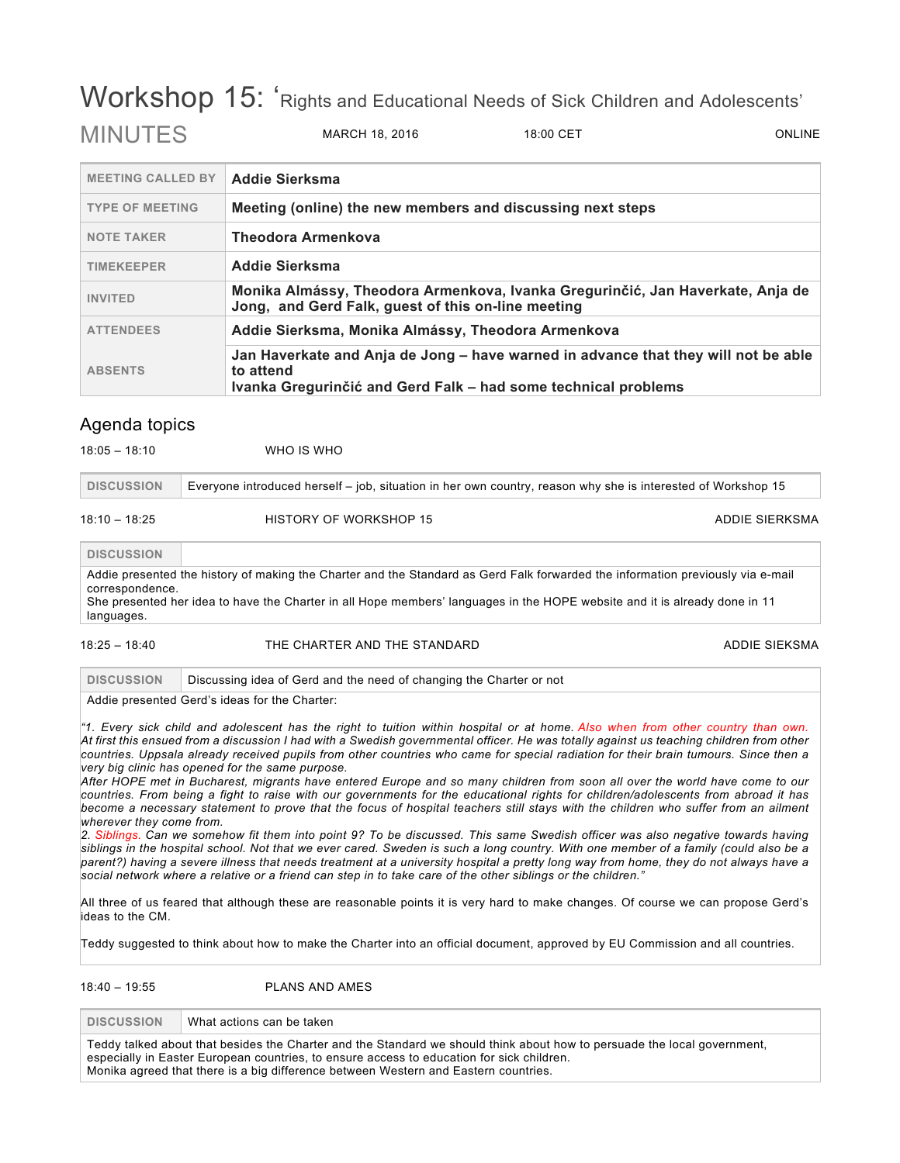# Workshop 15: 'Rights and Educational Needs of Sick Children and Adolescents' MINUITES MARCH 18, 2016 18:00 CET ONLINE

| <b>MEETING CALLED BY</b> | Addie Sierksma                                                                                                                                                    |  |
|--------------------------|-------------------------------------------------------------------------------------------------------------------------------------------------------------------|--|
| <b>TYPE OF MEETING</b>   | Meeting (online) the new members and discussing next steps                                                                                                        |  |
| <b>NOTE TAKER</b>        | <b>Theodora Armenkova</b>                                                                                                                                         |  |
| <b>TIMEKEEPER</b>        | <b>Addie Sierksma</b>                                                                                                                                             |  |
| <b>INVITED</b>           | Monika Almássy, Theodora Armenkova, Ivanka Gregurinčić, Jan Haverkate, Anja de<br>Jong, and Gerd Falk, guest of this on-line meeting                              |  |
| <b>ATTENDEES</b>         | Addie Sierksma, Monika Almássy, Theodora Armenkova                                                                                                                |  |
| <b>ABSENTS</b>           | Jan Haverkate and Anja de Jong – have warned in advance that they will not be able<br>to attend<br>Ivanka Gregurinčić and Gerd Falk – had some technical problems |  |

## Agenda topics

| $10.00 - 10.10$   | 11110 U U V                                                                                                  |                |
|-------------------|--------------------------------------------------------------------------------------------------------------|----------------|
| <b>DISCUSSION</b> | Everyone introduced herself – job, situation in her own country, reason why she is interested of Workshop 15 |                |
| $18:10 - 18:25$   | HISTORY OF WORKSHOP 15                                                                                       | ADDIE SIERKSMA |

**DISCUSSION** Addie presented the history of making the Charter and the Standard as Gerd Falk forwarded the information previously via e-mail correspondence. She presented her idea to have the Charter in all Hope members' languages in the HOPE website and it is already done in 11 languages.

### 18:25 – 18:40 THE CHARTER AND THE STANDARD ADDIE SIEKSMA

**DISCUSSION** Discussing idea of Gerd and the need of changing the Charter or not

Addie presented Gerd's ideas for the Charter:

18:05 – 18:10 WHO IS WHO

*"1. Every sick child and adolescent has the right to tuition within hospital or at home. Also when from other country than own. At first this ensued from a discussion I had with a Swedish governmental officer. He was totally against us teaching children from other countries. Uppsala already received pupils from other countries who came for special radiation for their brain tumours. Since then a very big clinic has opened for the same purpose.*

*After HOPE met in Bucharest, migrants have entered Europe and so many children from soon all over the world have come to our countries. From being a fight to raise with our governments for the educational rights for children/adolescents from abroad it has become a necessary statement to prove that the focus of hospital teachers still stays with the children who suffer from an ailment wherever they come from.*

*2. Siblings. Can we somehow fit them into point 9? To be discussed. This same Swedish officer was also negative towards having siblings in the hospital school. Not that we ever cared. Sweden is such a long country. With one member of a family (could also be a parent?) having a severe illness that needs treatment at a university hospital a pretty long way from home, they do not always have a social network where a relative or a friend can step in to take care of the other siblings or the children."*

All three of us feared that although these are reasonable points it is very hard to make changes. Of course we can propose Gerd's ideas to the CM.

Teddy suggested to think about how to make the Charter into an official document, approved by EU Commission and all countries.

18:40 – 19:55 PLANS AND AMES

**DISCUSSION** What actions can be taken

Teddy talked about that besides the Charter and the Standard we should think about how to persuade the local government, especially in Easter European countries, to ensure access to education for sick children. Monika agreed that there is a big difference between Western and Eastern countries.